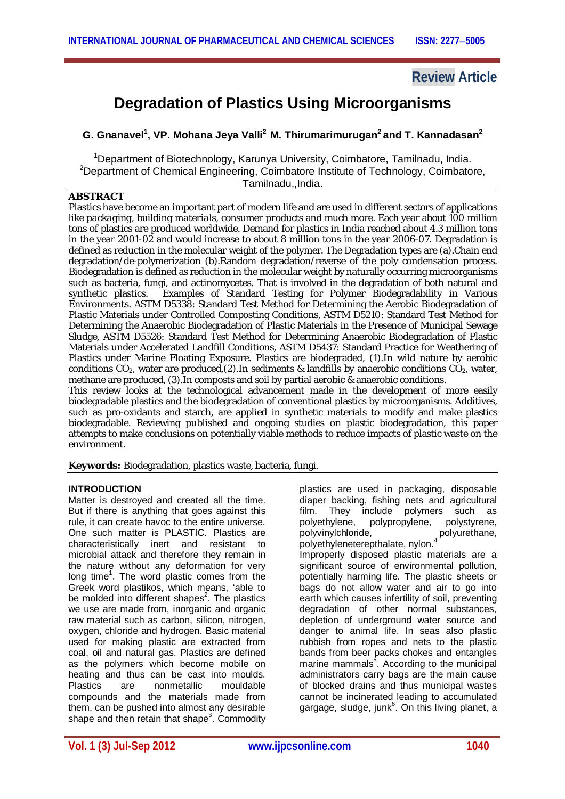## **Review Article**

# **Degradation of Plastics Using Microorganisms**

## **G. Gnanavel<sup>1</sup> , VP. Mohana Jeya Valli<sup>2</sup>M. Thirumarimurugan<sup>2</sup> and T. Kannadasan<sup>2</sup>**

<sup>1</sup>Department of Biotechnology, Karunya University, Coimbatore, Tamilnadu, India. <sup>2</sup>Department of Chemical Engineering, Coimbatore Institute of Technology, Coimbatore, Tamilnadu,,India.

## **ABSTRACT**

Plastics have become an important part of modern life and are used in different sectors of applications like *packaging, building materials, consumer products* and much more. Each year about 100 million tons of plastics are produced worldwide. Demand for plastics in India reached about 4.3 million tons in the year 2001-02 and would increase to about 8 million tons in the year 2006-07. Degradation is defined as reduction in the molecular weight of the polymer. The Degradation types are (a).Chain end degradation/de-polymerization (b).Random degradation/reverse of the poly condensation process. Biodegradation is defined as reduction in the molecular weight by naturally occurring microorganisms such as bacteria, fungi, and actinomycetes. That is involved in the degradation of both natural and synthetic plastics. Examples of Standard Testing for Polymer Biodegradability in Various Environments*.* ASTM D5338: Standard Test Method for Determining the Aerobic Biodegradation of Plastic Materials under Controlled Composting Conditions, ASTM D5210: Standard Test Method for Determining the Anaerobic Biodegradation of Plastic Materials in the Presence of Municipal Sewage Sludge, ASTM D5526: Standard Test Method for Determining Anaerobic Biodegradation of Plastic Materials under Accelerated Landfill Conditions, ASTM D5437: Standard Practice for Weathering of Plastics under Marine Floating Exposure. Plastics are biodegraded, (1).In wild nature by aerobic conditions  $CO<sub>2</sub>$ , water are produced,(2). In sediments & landfills by anaerobic conditions  $CO<sub>2</sub>$ , water, methane are produced, (3).In composts and soil by partial aerobic & anaerobic conditions.

This review looks at the technological advancement made in the development of more easily biodegradable plastics and the biodegradation of conventional plastics by microorganisms. Additives, such as pro-oxidants and starch, are applied in synthetic materials to modify and make plastics biodegradable. Reviewing published and ongoing studies on plastic biodegradation, this paper attempts to make conclusions on potentially viable methods to reduce impacts of plastic waste on the environment.

**Keywords:** Biodegradation, plastics waste, bacteria, fungi.

#### **INTRODUCTION**

Matter is destroyed and created all the time. But if there is anything that goes against this rule, it can create havoc to the entire universe. One such matter is PLASTIC. Plastics are characteristically inert and resistant to microbial attack and therefore they remain in the nature without any deformation for very long time<sup>1</sup>. The word plastic comes from the Greek word plastikos, which means, 'able to be molded into different shapes<sup>2</sup>. The plastics we use are made from, inorganic and organic raw material such as carbon, silicon, nitrogen, oxygen, chloride and hydrogen. Basic material used for making plastic are extracted from coal, oil and natural gas. Plastics are defined as the polymers which become mobile on heating and thus can be cast into moulds.<br>Plastics are conmetallic mouldable are nonmetallic compounds and the materials made from them, can be pushed into almost any desirable shape and then retain that shape<sup>3</sup>. Commodity plastics are used in packaging, disposable diaper backing, fishing nets and agricultural film. They include polymers such as polyethylene, polypropylene, polystyrene, polyvinylchloride, polyurethane, polyethyleneterepthalate, nylon.<sup>4</sup> Improperly disposed plastic materials are a significant source of environmental pollution, potentially harming life. The plastic sheets or bags do not allow water and air to go into earth which causes infertility of soil, preventing degradation of other normal substances, depletion of underground water source and danger to animal life. In seas also plastic rubbish from ropes and nets to the plastic bands from beer packs chokes and entangles marine mammals<sup>5</sup>. According to the municipal administrators carry bags are the main cause of blocked drains and thus municipal wastes cannot be incinerated leading to accumulated gargage, sludge, junk<sup>6</sup>. On this living planet, a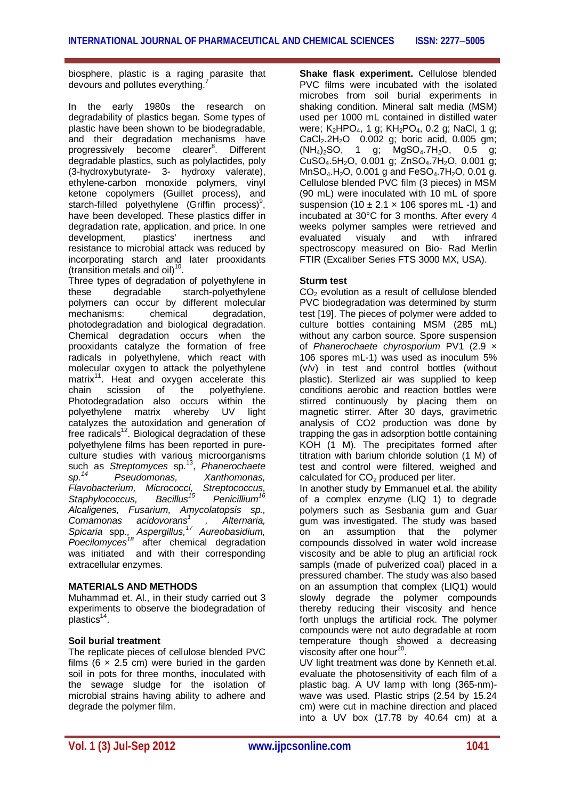biosphere, plastic is a raging parasite that devours and pollutes everything.

In the early 1980s the research on degradability of plastics began. Some types of plastic have been shown to be biodegradable, and their degradation mechanisms have progressively become clearer<sup>8</sup>. Different degradable plastics, such as polylactides, poly (3-hydroxybutyrate- 3- hydroxy valerate), ethylene-carbon monoxide polymers, vinyl ketone copolymers (Guillet process), and starch-filled polyethylene (Griffin process)<sup>9</sup>, have been developed. These plastics differ in degradation rate, application, and price. In one<br>development. plastics' inertness and development, plastics' inertness and resistance to microbial attack was reduced by incorporating starch and later prooxidants (transition metals and oil) $10$ .

Three types of degradation of polyethylene in these degradable starch-polyethylene polymers can occur by different molecular mechanisms: chemical degradation, photodegradation and biological degradation. Chemical degradation occurs when the prooxidants catalyze the formation of free radicals in polyethylene, which react with molecular oxygen to attack the polyethylene matrix<sup>11</sup>. Heat and oxygen accelerate this chain scission of the polyethylene. polyethylene. Photodegradation also occurs within the polyethylene matrix whereby UV light catalyzes the autoxidation and generation of free radicals $12$ . Biological degradation of these polyethylene films has been reported in pureculture studies with various microorganisms such as *Streptomyces* sp.<sup>13</sup> , *Phanerochaete sp.<sup>14</sup> Pseudomonas, Xanthomonas, Flavobacterium, Micrococci, Streptococcus, Staphylococcus, Bacillus<sup>15</sup> Penicillium<sup>16</sup> Alcaligenes, Fusarium, Amycolatopsis sp., Comamonas acidovorans<sup>1</sup> , Alternaria, Spicaria* spp.*, Aspergillus, <sup>17</sup> Aureobasidium, Poecilomyces<sup>18</sup>* after chemical degradation was initiated and with their corresponding extracellular enzymes.

#### **MATERIALS AND METHODS**

Muhammad et. Al., in their study carried out 3 experiments to observe the biodegradation of plastics<sup>14</sup>.

## **Soil burial treatment**

The replicate pieces of cellulose blended PVC films ( $6 \times 2.5$  cm) were buried in the garden soil in pots for three months, inoculated with the sewage sludge for the isolation of microbial strains having ability to adhere and degrade the polymer film.

**Shake flask experiment.** Cellulose blended PVC films were incubated with the isolated microbes from soil burial experiments in shaking condition. Mineral salt media (MSM) used per 1000 mL contained in distilled water were;  $K_2HPO_4$ , 1 g;  $KH_2PO_4$ , 0.2 g; NaCl, 1 g;  $CaCl<sub>2</sub>.2H<sub>2</sub>O$  0.002 g; boric acid, 0.005 gm;<br>(NH<sub>4</sub>)<sub>2</sub>SO, 1 g; MgSO<sub>4</sub>.7H<sub>2</sub>O, 0.5 g;  $MgSO<sub>4</sub>.7H<sub>2</sub>O$ , 0.5 g;  $CuSO<sub>4</sub>.5H<sub>2</sub>O$ , 0.001 g;  $ZnSO<sub>4</sub>.7H<sub>2</sub>O$ , 0.001 g;  $MnSO<sub>4</sub>$ . H<sub>2</sub>O, 0.001 g and FeSO<sub>4</sub>. 7H<sub>2</sub>O, 0.01 g. Cellulose blended PVC film (3 pieces) in MSM (90 mL) were inoculated with 10 mL of spore suspension (10  $\pm$  2.1  $\times$  106 spores mL -1) and incubated at 30°C for 3 months. After every 4 weeks polymer samples were retrieved and<br>evaluated visualy and with infrared evaluated visualy and with infrared spectroscopy measured on Bio- Rad Merlin FTIR (Excaliber Series FTS 3000 MX, USA).

## **Sturm test**

 $CO<sub>2</sub>$  evolution as a result of cellulose blended PVC biodegradation was determined by sturm test [19]. The pieces of polymer were added to culture bottles containing MSM (285 mL) without any carbon source. Spore suspension of *Phanerochaete chyrosporium* PV1 (2.9 × 106 spores mL-1) was used as inoculum 5% (v/v) in test and control bottles (without plastic). Sterlized air was supplied to keep conditions aerobic and reaction bottles were stirred continuously by placing them on magnetic stirrer. After 30 days, gravimetric analysis of CO2 production was done by trapping the gas in adsorption bottle containing KOH (1 M). The precipitates formed after titration with barium chloride solution (1 M) of test and control were filtered, weighed and calculated for  $CO<sub>2</sub>$  produced per liter.

In another study by Emmanuel et.al. the ability of a complex enzyme (LIQ 1) to degrade polymers such as Sesbania gum and Guar gum was investigated. The study was based on an assumption that the polymer compounds dissolved in water wold increase viscosity and be able to plug an artificial rock sampls (made of pulverized coal) placed in a pressured chamber. The study was also based on an assumption that complex (LIQ1) would slowly degrade the polymer compounds thereby reducing their viscosity and hence forth unplugs the artificial rock. The polymer compounds were not auto degradable at room temperature though showed a decreasing viscosity after one hour<sup>20</sup>.

UV light treatment was done by Kenneth et.al. evaluate the photosensitivity of each film of a plastic bag. A UV lamp with long (365-nm) wave was used. Plastic strips (2.54 by 15.24 cm) were cut in machine direction and placed into a UV box (17.78 by 40.64 cm) at a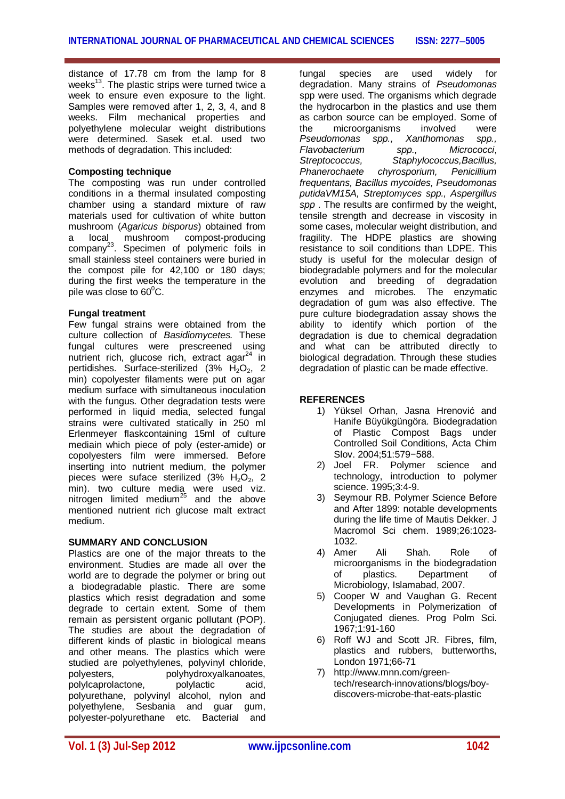distance of 17.78 cm from the lamp for 8 weeks<sup>13</sup>. The plastic strips were turned twice a week to ensure even exposure to the light. Samples were removed after 1, 2, 3, 4, and 8 weeks. Film mechanical properties and polyethylene molecular weight distributions were determined. Sasek et.al. used two methods of degradation. This included:

#### **Composting technique**

The composting was run under controlled conditions in a thermal insulated composting chamber using a standard mixture of raw materials used for cultivation of white button mushroom (*Agaricus bisporus*) obtained from a local mushroom compost-producing company<sup>23</sup>. Specimen of polymeric foils in small stainless steel containers were buried in the compost pile for 42,100 or 180 days; during the first weeks the temperature in the pile was close to  $60^{\circ}$ C.

## **Fungal treatment**

Few fungal strains were obtained from the culture collection of *Basidiomycetes.* These fungal cultures were prescreened using nutrient rich, glucose rich, extract agar $^{24}$  in pertidishes. Surface-sterilized (3%  $H_2O_2$ , 2 min) copolyester filaments were put on agar medium surface with simultaneous inoculation with the fungus. Other degradation tests were performed in liquid media, selected fungal strains were cultivated statically in 250 ml Erlenmeyer flaskcontaining 15ml of culture mediain which piece of poly (ester-amide) or copolyesters film were immersed. Before inserting into nutrient medium, the polymer pieces were suface sterilized  $(3\% \text{ H}_2\text{O}_2, 2)$ min). two culture media were used viz. nitrogen limited medium $^{25}$  and the above mentioned nutrient rich glucose malt extract medium.

#### **SUMMARY AND CONCLUSION**

Plastics are one of the major threats to the environment. Studies are made all over the world are to degrade the polymer or bring out a biodegradable plastic. There are some plastics which resist degradation and some degrade to certain extent. Some of them remain as persistent organic pollutant (POP). The studies are about the degradation of different kinds of plastic in biological means and other means. The plastics which were studied are polyethylenes, polyvinyl chloride, polyesters, polyhydroxyalkanoates,<br>polylcaprolactone, polylactic acid. polylcaprolactone, polylactic acid, polyurethane, polyvinyl alcohol, nylon and polyethylene, Sesbania and guar gum, polyester-polyurethane etc. Bacterial and

fungal species are used widely for degradation. Many strains of *Pseudomonas* spp were used. The organisms which degrade the hydrocarbon in the plastics and use them as carbon source can be employed. Some of the microorganisms involved were<br>Pseudomonas spp. Xanthomonas spp. *Pseudomonas spp., Flavobacterium spp., Micrococci*, *Streptococcus, Staphylococcus,Bacillus, Phanerochaete chyrosporium, Penicillium frequentans, Bacillus mycoides, Pseudomonas putidaVM15A, Streptomyces spp., Aspergillus spp* . The results are confirmed by the weight, tensile strength and decrease in viscosity in some cases, molecular weight distribution, and fragility. The HDPE plastics are showing resistance to soil conditions than LDPE. This study is useful for the molecular design of biodegradable polymers and for the molecular evolution and breeding of degradation enzymes and microbes. The enzymatic degradation of gum was also effective. The pure culture biodegradation assay shows the ability to identify which portion of the degradation is due to chemical degradation and what can be attributed directly to biological degradation. Through these studies degradation of plastic can be made effective.

## **REFERENCES**

- 1) Yüksel Orhan, Jasna Hrenović and Hanife Büyükgüngöra. Biodegradation of Plastic Compost Bags under Controlled Soil Conditions, Acta Chim Slov. 2004;51:579−588.
- 2) Joel FR. Polymer science and technology, introduction to polymer science. 1995;3:4-9.
- 3) Seymour RB. Polymer Science Before and After 1899: notable developments during the life time of Mautis Dekker. J Macromol Sci chem. 1989;26:1023- 1032.
- 4) Amer Ali Shah. Role of microorganisms in the biodegradation of plastics. Department of Microbiology, Islamabad, 2007.
- 5) Cooper W and Vaughan G. Recent Developments in Polymerization of Conjugated dienes. Prog Polm Sci. 1967;1:91-160
- 6) Roff WJ and Scott JR. Fibres, film, plastics and rubbers, butterworths, London 1971;66-71
- 7) http://www.mnn.com/greentech/research-innovations/blogs/boydiscovers-microbe-that-eats-plastic